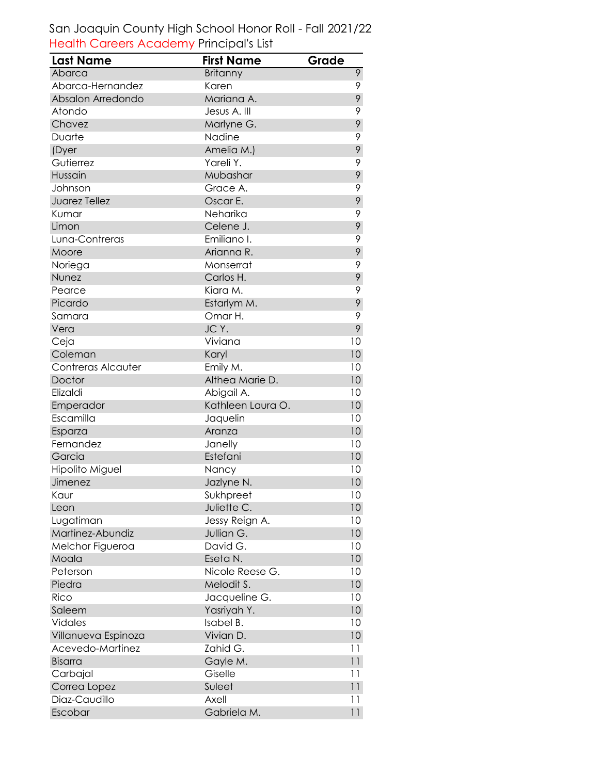## San Joaquin County High School Honor Roll - Fall 2021/22 Health Careers Academy Principal's List

| <b>Last Name</b>       | <b>First Name</b> | Grade           |
|------------------------|-------------------|-----------------|
| Abarca                 | <b>Britanny</b>   | 9               |
| Abarca-Hernandez       | Karen             | 9               |
| Absalon Arredondo      | Mariana A.        | 9               |
| Atondo                 | Jesus A. III      | 9               |
| Chavez                 | Marlyne G.        | 9               |
| Duarte                 | Nadine            | 9               |
| (Dyer                  | Amelia M.)        | 9               |
| Gutierrez              | Yareli Y.         | 9               |
| Hussain                | Mubashar          | 9               |
| Johnson                | Grace A.          | 9               |
| Juarez Tellez          | Oscar E.          | 9               |
| Kumar                  | Neharika          | 9               |
| Limon                  | Celene J.         | 9               |
| Luna-Contreras         | Emiliano I.       | 9               |
| Moore                  | Arianna R.        | 9               |
| Noriega                | Monserrat         | 9               |
| Nunez                  | Carlos H.         | 9               |
| Pearce                 | Kiara M.          | 9               |
| Picardo                | Estarlym M.       | 9               |
| Samara                 | Omar H.           | 9               |
| Vera                   | JC Y.             | 9               |
| Ceja                   | Viviana           | 10              |
| Coleman                | Karyl             | 10              |
| Contreras Alcauter     | Emily M.          | 10              |
| Doctor                 | Althea Marie D.   | 10              |
| Elizaldi               | Abigail A.        | 10              |
| Emperador              | Kathleen Laura O. | 10              |
| Escamilla              | Jaquelin          | 10              |
| Esparza                | Aranza            | 10              |
| Fernandez              | Janelly           | 10              |
| Garcia                 | Estefani          | 10              |
| <b>Hipolito Miguel</b> | Nancy             | 10              |
| Jimenez                | Jazlyne N.        | 10              |
| Kaur                   | Sukhpreet         | 10              |
| Leon                   | Juliette C.       | 10              |
| Lugatiman              | Jessy Reign A.    | 10              |
| Martinez-Abundiz       | Jullian G.        | 10              |
| Melchor Figueroa       | David G.          | 10              |
| Moala                  | Eseta N.          | 10              |
| Peterson               | Nicole Reese G.   | 10              |
| Piedra                 | Melodit S.        | 10              |
| Rico                   | Jacqueline G.     | 10              |
| Saleem                 | Yasriyah Y.       | 10              |
| <b>Vidales</b>         | Isabel B.         | 10              |
| Villanueva Espinoza    | Vivian D.         | 10 <sup>°</sup> |
| Acevedo-Martinez       | Zahid G.          | 11              |
| <b>Bisarra</b>         | Gayle M.          | 11              |
| Carbajal               | Giselle           | 11              |
| Correa Lopez           | Suleet            | 11              |
| Diaz-Caudillo          | Axell             | 11              |
| Escobar                | Gabriela M.       | $\overline{11}$ |